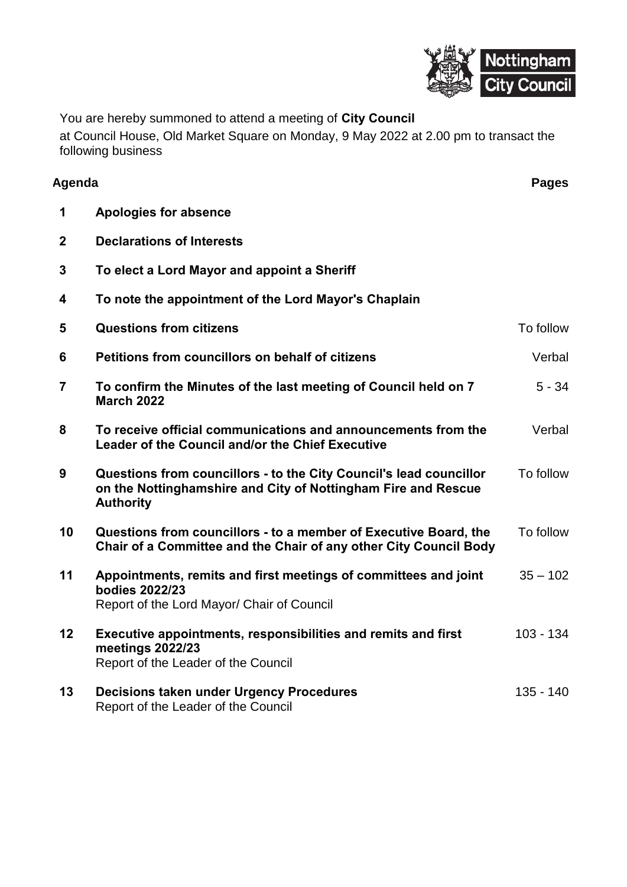

You are hereby summoned to attend a meeting of **City Council**

at Council House, Old Market Square on Monday, 9 May 2022 at 2.00 pm to transact the following business

| Agenda                  |                                                                                                                                                         | <b>Pages</b> |
|-------------------------|---------------------------------------------------------------------------------------------------------------------------------------------------------|--------------|
| 1                       | <b>Apologies for absence</b>                                                                                                                            |              |
| $\mathbf 2$             | <b>Declarations of Interests</b>                                                                                                                        |              |
| 3                       | To elect a Lord Mayor and appoint a Sheriff                                                                                                             |              |
| 4                       | To note the appointment of the Lord Mayor's Chaplain                                                                                                    |              |
| 5                       | <b>Questions from citizens</b>                                                                                                                          | To follow    |
| 6                       | Petitions from councillors on behalf of citizens                                                                                                        | Verbal       |
| $\overline{\mathbf{7}}$ | To confirm the Minutes of the last meeting of Council held on 7<br><b>March 2022</b>                                                                    | $5 - 34$     |
| 8                       | To receive official communications and announcements from the<br>Leader of the Council and/or the Chief Executive                                       | Verbal       |
| 9                       | Questions from councillors - to the City Council's lead councillor<br>on the Nottinghamshire and City of Nottingham Fire and Rescue<br><b>Authority</b> | To follow    |
| 10                      | Questions from councillors - to a member of Executive Board, the<br>Chair of a Committee and the Chair of any other City Council Body                   | To follow    |
| 11                      | Appointments, remits and first meetings of committees and joint<br>bodies 2022/23<br>Report of the Lord Mayor/ Chair of Council                         | $35 - 102$   |
| 12                      | Executive appointments, responsibilities and remits and first<br>meetings 2022/23<br>Report of the Leader of the Council                                | $103 - 134$  |
| 13                      | <b>Decisions taken under Urgency Procedures</b><br>Report of the Leader of the Council                                                                  | $135 - 140$  |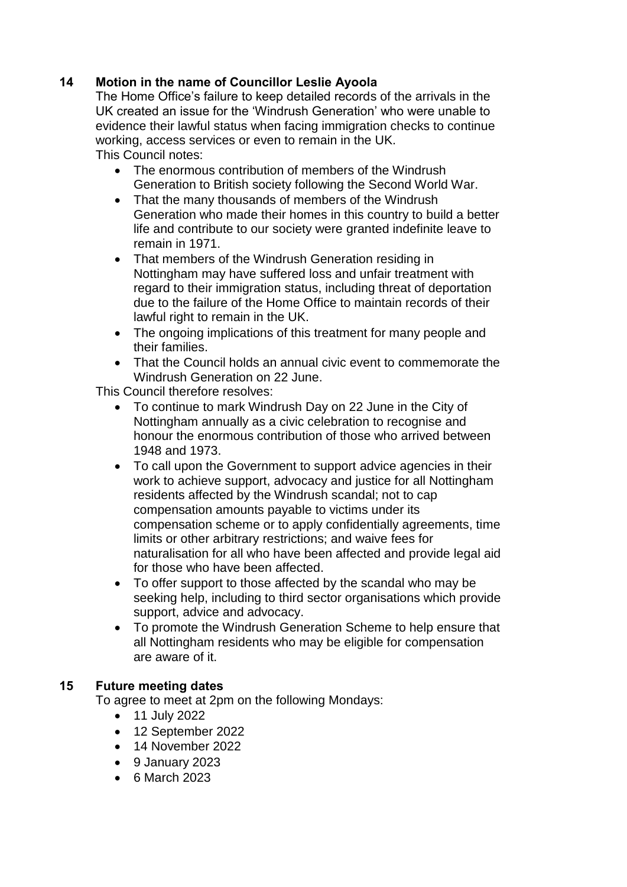## **14 Motion in the name of Councillor Leslie Ayoola**

The Home Office's failure to keep detailed records of the arrivals in the UK created an issue for the 'Windrush Generation' who were unable to evidence their lawful status when facing immigration checks to continue working, access services or even to remain in the UK.

This Council notes:

- The enormous contribution of members of the Windrush Generation to British society following the Second World War.
- That the many thousands of members of the Windrush Generation who made their homes in this country to build a better life and contribute to our society were granted indefinite leave to remain in 1971.
- That members of the Windrush Generation residing in Nottingham may have suffered loss and unfair treatment with regard to their immigration status, including threat of deportation due to the failure of the Home Office to maintain records of their lawful right to remain in the UK.
- The ongoing implications of this treatment for many people and their families.
- That the Council holds an annual civic event to commemorate the Windrush Generation on 22 June.

This Council therefore resolves:

- To continue to mark Windrush Day on 22 June in the City of Nottingham annually as a civic celebration to recognise and honour the enormous contribution of those who arrived between 1948 and 1973.
- To call upon the Government to support advice agencies in their work to achieve support, advocacy and justice for all Nottingham residents affected by the Windrush scandal; not to cap compensation amounts payable to victims under its compensation scheme or to apply confidentially agreements, time limits or other arbitrary restrictions; and waive fees for naturalisation for all who have been affected and provide legal aid for those who have been affected.
- To offer support to those affected by the scandal who may be seeking help, including to third sector organisations which provide support, advice and advocacy.
- To promote the Windrush Generation Scheme to help ensure that all Nottingham residents who may be eligible for compensation are aware of it.

## **15 Future meeting dates**

To agree to meet at 2pm on the following Mondays:

- 11 July 2022
- 12 September 2022
- 14 November 2022
- 9 January 2023
- 6 March 2023